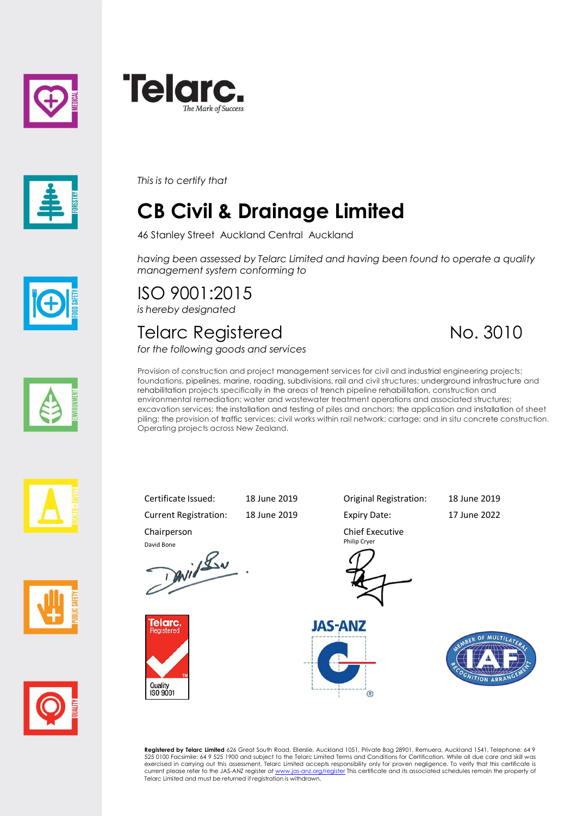





*This is to certify that*

## **CB Civil & Drainage Limited**

46 Stanley Street Auckland Central Auckland

*having been assessed by Telarc Limited and having been found to operate a quality management system conforming to*

# ISO 9001:2015

*is hereby designated*

#### Telarc Registered No. 3010

*for the following goods and services*













Current Registration: 18 June 2019 Expiry Date: 17 June 2022

Certificate Issued: 18 June 2019 Original Registration: 18 June 2019

David Bone<br>David Lav



Chairperson

Philip Cryer

Chief Executive







**Registered by Telarc Limited** 626 Great South Road, Ellerslie, Auckland 1051, Private Bag 28901, Remuera, Auckland 1541, Telephone: 64 9<br>525 0100 Facsimile: 64 9 525 1900 and subject to the Telarc Limited Terms and Condit current please refer to the JAS-ANZ register a[t www.jas-anz.org/register](www.jas-anz.org/register) This certificate and its associated schedules remain the property of Telarc Limited and must be returned if registration is withdrawn.